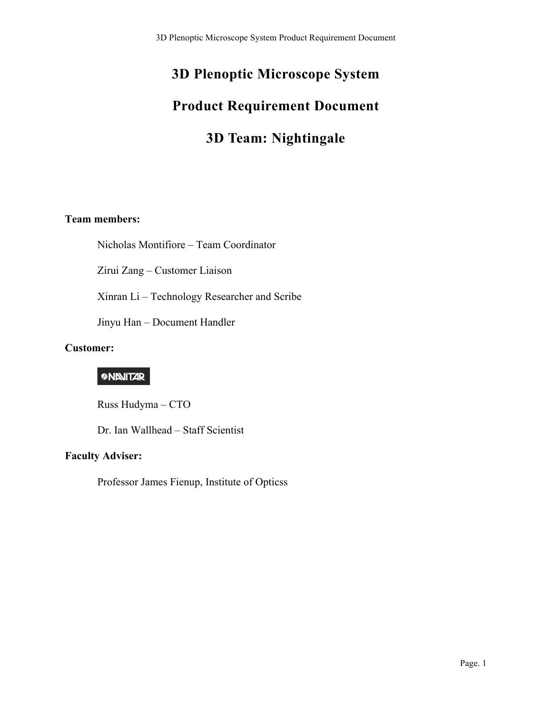# **3D Plenoptic Microscope System Product Requirement Document**

# **3D Team: Nightingale**

## **Team members:**

Nicholas Montifiore – Team Coordinator

Zirui Zang – Customer Liaison

Xinran Li – Technology Researcher and Scribe

Jinyu Han – Document Handler

#### **Customer:**

# **9 NINITAR**

Russ Hudyma – CTO

Dr. Ian Wallhead – Staff Scientist

#### **Faculty Adviser:**

Professor James Fienup, Institute of Opticss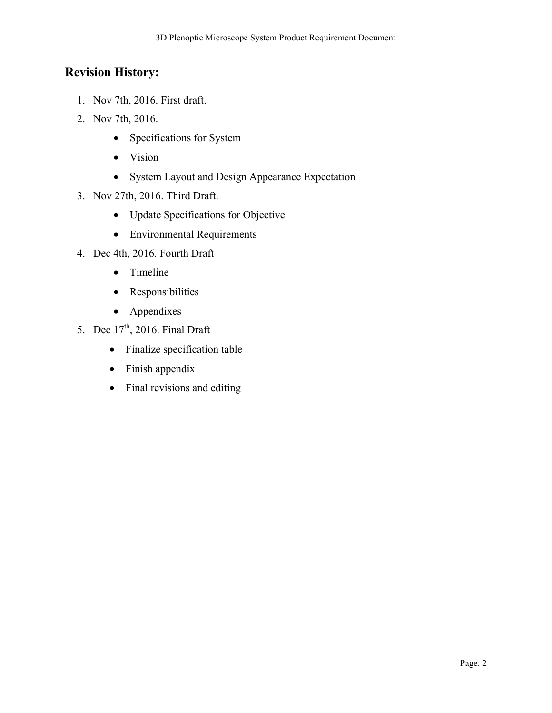# **Revision History:**

- 1. Nov 7th, 2016. First draft.
- 2. Nov 7th, 2016.
	- Specifications for System
	- Vision
	- System Layout and Design Appearance Expectation
- 3. Nov 27th, 2016. Third Draft.
	- Update Specifications for Objective
	- Environmental Requirements
- 4. Dec 4th, 2016. Fourth Draft
	- Timeline
	- Responsibilities
	- Appendixes
- 5. Dec  $17<sup>th</sup>$ , 2016. Final Draft
	- Finalize specification table
	- Finish appendix
	- Final revisions and editing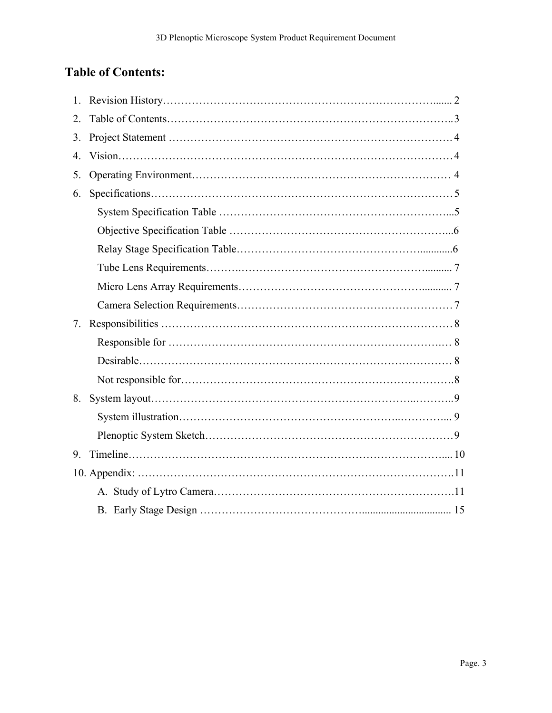# **Table of Contents:**

| $\mathbf{1}$ . |  |
|----------------|--|
| 2.             |  |
| 3.             |  |
| 4.             |  |
| 5.             |  |
| 6.             |  |
|                |  |
|                |  |
|                |  |
|                |  |
|                |  |
|                |  |
| 7 <sub>1</sub> |  |
|                |  |
|                |  |
|                |  |
| 8.             |  |
|                |  |
|                |  |
| 9.             |  |
|                |  |
|                |  |
|                |  |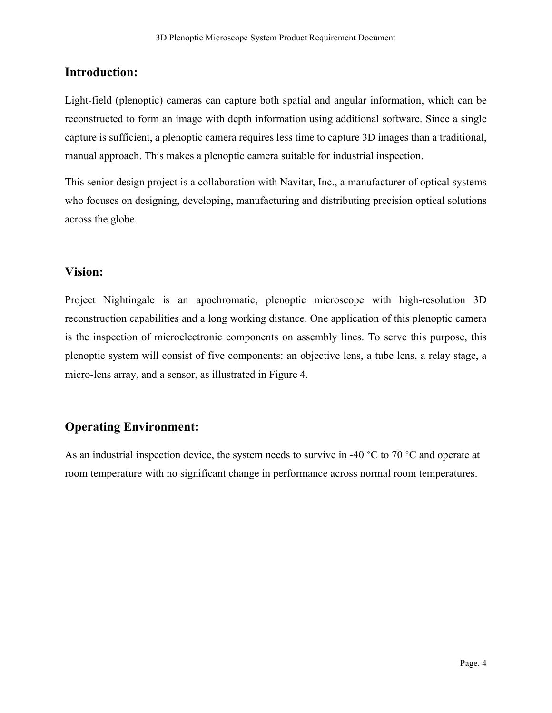# **Introduction:**

Light-field (plenoptic) cameras can capture both spatial and angular information, which can be reconstructed to form an image with depth information using additional software. Since a single capture is sufficient, a plenoptic camera requires less time to capture 3D images than a traditional, manual approach. This makes a plenoptic camera suitable for industrial inspection.

This senior design project is a collaboration with Navitar, Inc., a manufacturer of optical systems who focuses on designing, developing, manufacturing and distributing precision optical solutions across the globe.

## **Vision:**

Project Nightingale is an apochromatic, plenoptic microscope with high-resolution 3D reconstruction capabilities and a long working distance. One application of this plenoptic camera is the inspection of microelectronic components on assembly lines. To serve this purpose, this plenoptic system will consist of five components: an objective lens, a tube lens, a relay stage, a micro-lens array, and a sensor, as illustrated in Figure 4.

# **Operating Environment:**

As an industrial inspection device, the system needs to survive in -40 °C to 70 °C and operate at room temperature with no significant change in performance across normal room temperatures.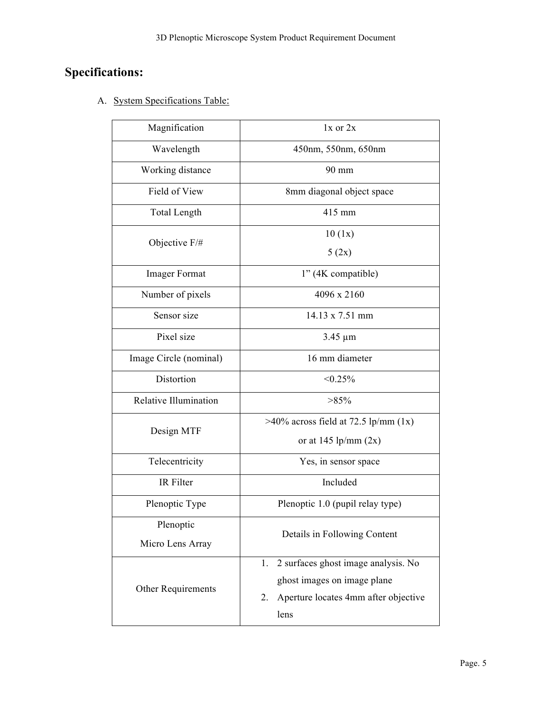# **Specifications:**

A. System Specifications Table:

| Magnification                 | $1x$ or $2x$                                                                                                                   |  |  |  |  |  |
|-------------------------------|--------------------------------------------------------------------------------------------------------------------------------|--|--|--|--|--|
| Wavelength                    | 450nm, 550nm, 650nm                                                                                                            |  |  |  |  |  |
| Working distance              | 90 mm                                                                                                                          |  |  |  |  |  |
| Field of View                 | 8mm diagonal object space                                                                                                      |  |  |  |  |  |
| <b>Total Length</b>           | 415 mm                                                                                                                         |  |  |  |  |  |
| Objective F/#                 | 10(1x)<br>5(2x)                                                                                                                |  |  |  |  |  |
| <b>Imager Format</b>          | 1" (4K compatible)                                                                                                             |  |  |  |  |  |
| Number of pixels              | 4096 x 2160                                                                                                                    |  |  |  |  |  |
| Sensor size                   | 14.13 x 7.51 mm                                                                                                                |  |  |  |  |  |
| Pixel size                    | $3.45 \mu m$                                                                                                                   |  |  |  |  |  |
| Image Circle (nominal)        | 16 mm diameter                                                                                                                 |  |  |  |  |  |
| Distortion                    | $< 0.25\%$                                                                                                                     |  |  |  |  |  |
| Relative Illumination         | $>85\%$                                                                                                                        |  |  |  |  |  |
| Design MTF                    | $>40\%$ across field at 72.5 lp/mm (1x)<br>or at 145 lp/mm $(2x)$                                                              |  |  |  |  |  |
| Telecentricity                | Yes, in sensor space                                                                                                           |  |  |  |  |  |
| IR Filter                     | Included                                                                                                                       |  |  |  |  |  |
| Plenoptic Type                | Plenoptic 1.0 (pupil relay type)                                                                                               |  |  |  |  |  |
| Plenoptic<br>Micro Lens Array | Details in Following Content                                                                                                   |  |  |  |  |  |
| Other Requirements            | 2 surfaces ghost image analysis. No<br>1.<br>ghost images on image plane<br>Aperture locates 4mm after objective<br>2.<br>lens |  |  |  |  |  |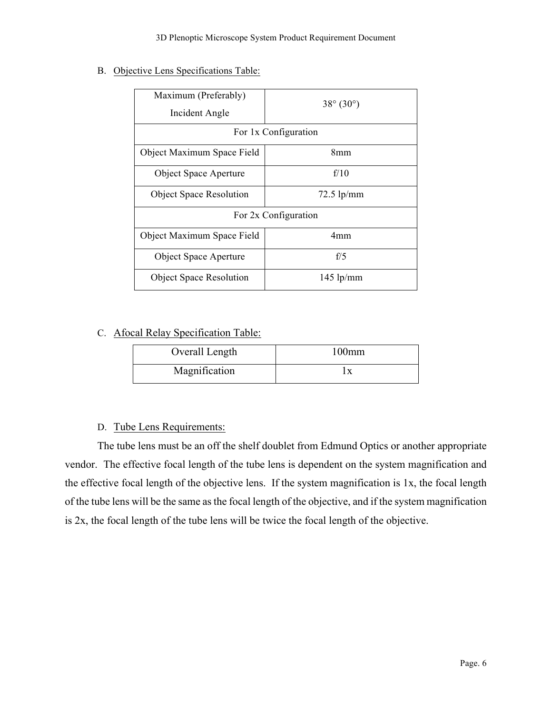B. Objective Lens Specifications Table:

| Maximum (Preferably)<br>Incident Angle | $38^{\circ} (30^{\circ})$ |  |  |  |  |
|----------------------------------------|---------------------------|--|--|--|--|
| For 1x Configuration                   |                           |  |  |  |  |
| Object Maximum Space Field             | 8mm                       |  |  |  |  |
| <b>Object Space Aperture</b>           | f/10                      |  |  |  |  |
| <b>Object Space Resolution</b>         | $72.5$ lp/mm              |  |  |  |  |
| For 2x Configuration                   |                           |  |  |  |  |
| Object Maximum Space Field             | 4mm                       |  |  |  |  |
| <b>Object Space Aperture</b>           | f/5                       |  |  |  |  |
| <b>Object Space Resolution</b>         | $145$ lp/mm               |  |  |  |  |

## C. Afocal Relay Specification Table:

| Overall Length | $100$ mm |  |  |
|----------------|----------|--|--|
| Magnification  |          |  |  |

#### D. Tube Lens Requirements:

The tube lens must be an off the shelf doublet from Edmund Optics or another appropriate vendor. The effective focal length of the tube lens is dependent on the system magnification and the effective focal length of the objective lens. If the system magnification is 1x, the focal length of the tube lens will be the same as the focal length of the objective, and if the system magnification is 2x, the focal length of the tube lens will be twice the focal length of the objective.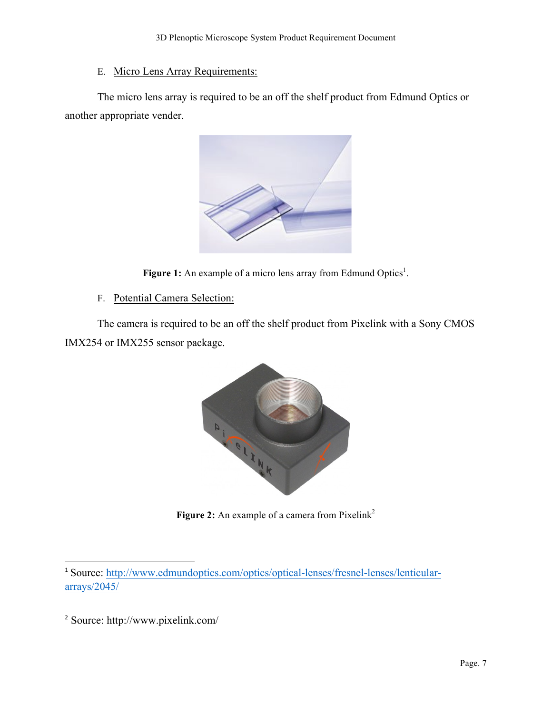# E. Micro Lens Array Requirements:

The micro lens array is required to be an off the shelf product from Edmund Optics or another appropriate vender.



Figure 1: An example of a micro lens array from Edmund Optics<sup>1</sup>.

F. Potential Camera Selection:

The camera is required to be an off the shelf product from Pixelink with a Sony CMOS IMX254 or IMX255 sensor package.



**Figure 2:** An example of a camera from Pixelink<sup>2</sup>

 

<sup>1</sup> Source: http://www.edmundoptics.com/optics/optical-lenses/fresnel-lenses/lenticulararrays/2045/

<sup>2</sup> Source: http://www.pixelink.com/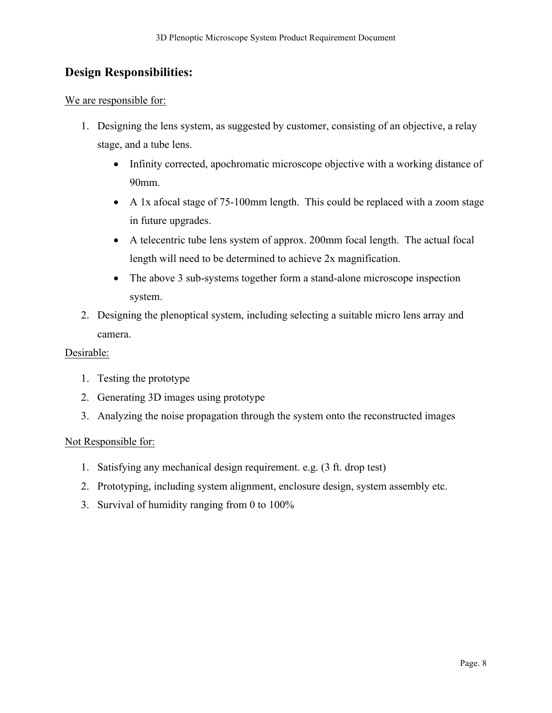# **Design Responsibilities:**

#### We are responsible for:

- 1. Designing the lens system, as suggested by customer, consisting of an objective, a relay stage, and a tube lens.
	- Infinity corrected, apochromatic microscope objective with a working distance of 90mm.
	- A 1x afocal stage of 75-100mm length. This could be replaced with a zoom stage in future upgrades.
	- A telecentric tube lens system of approx. 200mm focal length. The actual focal length will need to be determined to achieve 2x magnification.
	- The above 3 sub-systems together form a stand-alone microscope inspection system.
- 2. Designing the plenoptical system, including selecting a suitable micro lens array and camera.

#### Desirable:

- 1. Testing the prototype
- 2. Generating 3D images using prototype
- 3. Analyzing the noise propagation through the system onto the reconstructed images

#### Not Responsible for:

- 1. Satisfying any mechanical design requirement. e.g. (3 ft. drop test)
- 2. Prototyping, including system alignment, enclosure design, system assembly etc.
- 3. Survival of humidity ranging from 0 to 100%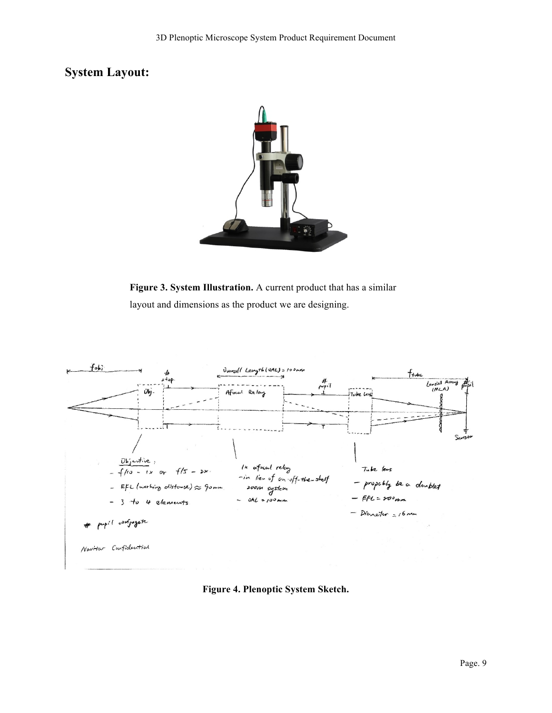# **System Layout:**



**Figure 3. System Illustration.** A current product that has a similar layout and dimensions as the product we are designing.



**Figure 4. Plenoptic System Sketch.**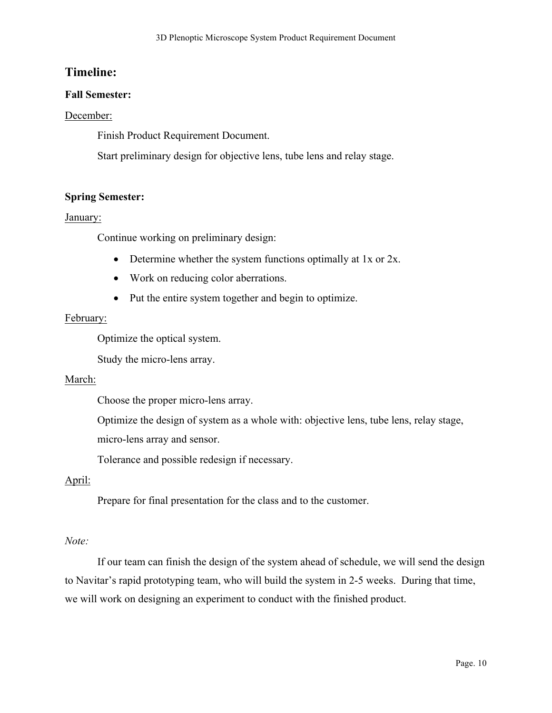## **Timeline:**

#### **Fall Semester:**

#### December:

Finish Product Requirement Document.

Start preliminary design for objective lens, tube lens and relay stage.

#### **Spring Semester:**

#### January:

Continue working on preliminary design:

- Determine whether the system functions optimally at 1x or 2x.
- Work on reducing color aberrations.
- Put the entire system together and begin to optimize.

#### February:

Optimize the optical system.

Study the micro-lens array.

#### March:

Choose the proper micro-lens array.

Optimize the design of system as a whole with: objective lens, tube lens, relay stage, micro-lens array and sensor.

Tolerance and possible redesign if necessary.

#### April:

Prepare for final presentation for the class and to the customer.

#### *Note:*

If our team can finish the design of the system ahead of schedule, we will send the design to Navitar's rapid prototyping team, who will build the system in 2-5 weeks. During that time, we will work on designing an experiment to conduct with the finished product.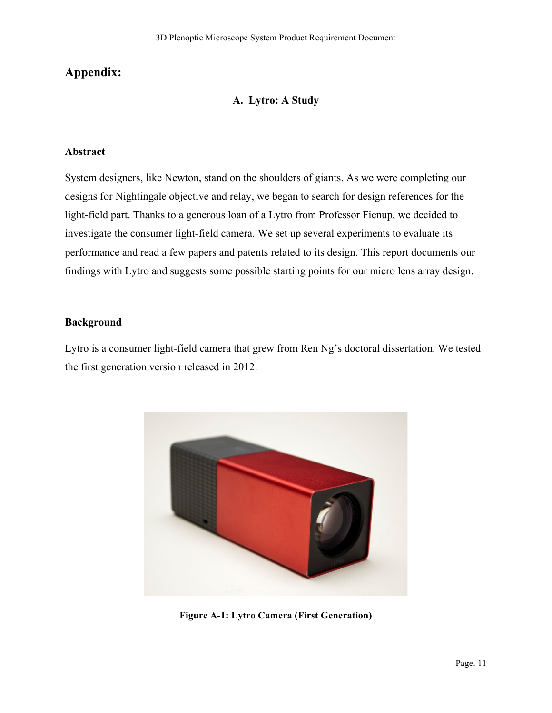# **Appendix:**

#### **A. Lytro: A Study**

#### **Abstract**

System designers, like Newton, stand on the shoulders of giants. As we were completing our designs for Nightingale objective and relay, we began to search for design references for the light-field part. Thanks to a generous loan of a Lytro from Professor Fienup, we decided to investigate the consumer light-field camera. We set up several experiments to evaluate its performance and read a few papers and patents related to its design. This report documents our findings with Lytro and suggests some possible starting points for our micro lens array design.

#### **Background**

Lytro is a consumer light-field camera that grew from Ren Ng's doctoral dissertation. We tested the first generation version released in 2012.



**Figure A-1: Lytro Camera (First Generation)**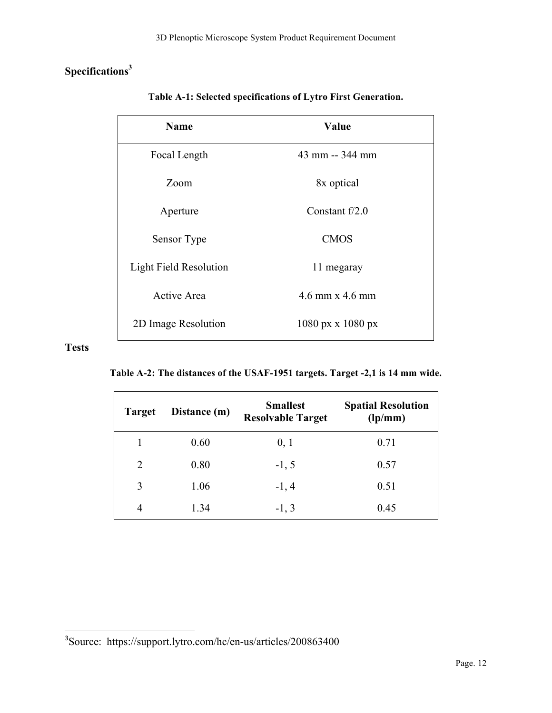# **Specifications3**

| <b>Name</b>                   | <b>Value</b>                             |
|-------------------------------|------------------------------------------|
| Focal Length                  | 43 mm -- 344 mm                          |
| Zoom                          | 8x optical                               |
| Aperture                      | Constant $f/2.0$                         |
| Sensor Type                   | <b>CMOS</b>                              |
| <b>Light Field Resolution</b> | 11 megaray                               |
| <b>Active Area</b>            | $4.6$ mm x $4.6$ mm                      |
| 2D Image Resolution           | $1080 \text{ px} \times 1080 \text{ px}$ |

**Table A-1: Selected specifications of Lytro First Generation.**

# **Tests**

**Table A-2: The distances of the USAF-1951 targets. Target -2,1 is 14 mm wide.**

| <b>Target</b>  | Distance (m) | <b>Smallest</b><br><b>Resolvable Target</b> | <b>Spatial Resolution</b><br>$\frac{1}{p^{m}}$ |  |  |
|----------------|--------------|---------------------------------------------|------------------------------------------------|--|--|
|                | 0.60         | 0, 1                                        | 0.71                                           |  |  |
| $\overline{2}$ | 0.80         | $-1, 5$                                     | 0.57                                           |  |  |
| 3              | 1.06         | $-1, 4$                                     | 0.51                                           |  |  |
| 4              | 1.34         | $-1, 3$                                     | 0.45                                           |  |  |

 

<sup>&</sup>lt;sup>3</sup>Source: https://support.lytro.com/hc/en-us/articles/200863400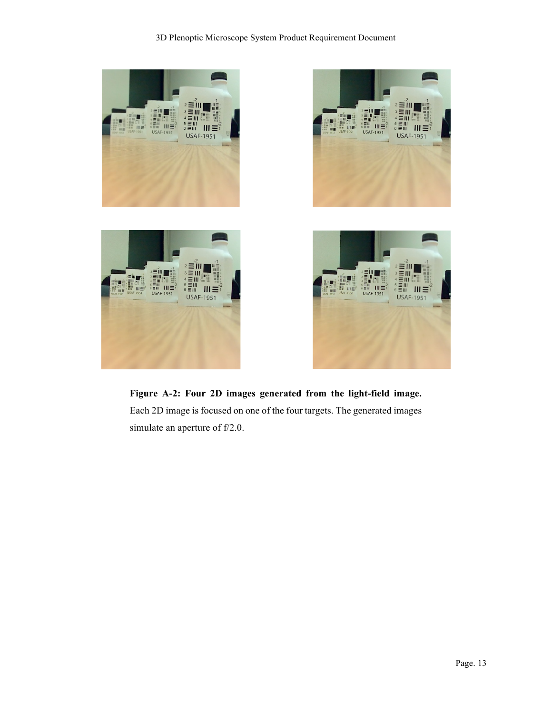

**Figure A-2: Four 2D images generated from the light-field image.**  Each 2D image is focused on one of the four targets. The generated images simulate an aperture of f/2.0.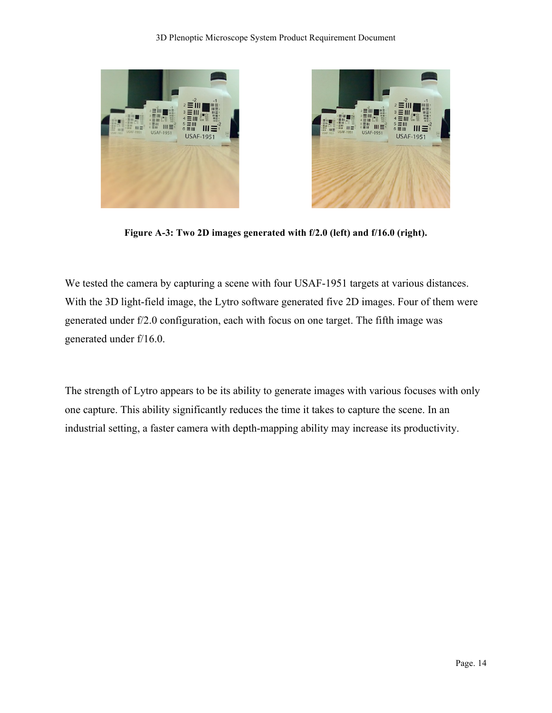



**Figure A-3: Two 2D images generated with f/2.0 (left) and f/16.0 (right).**

We tested the camera by capturing a scene with four USAF-1951 targets at various distances. With the 3D light-field image, the Lytro software generated five 2D images. Four of them were generated under f/2.0 configuration, each with focus on one target. The fifth image was generated under f/16.0.

The strength of Lytro appears to be its ability to generate images with various focuses with only one capture. This ability significantly reduces the time it takes to capture the scene. In an industrial setting, a faster camera with depth-mapping ability may increase its productivity.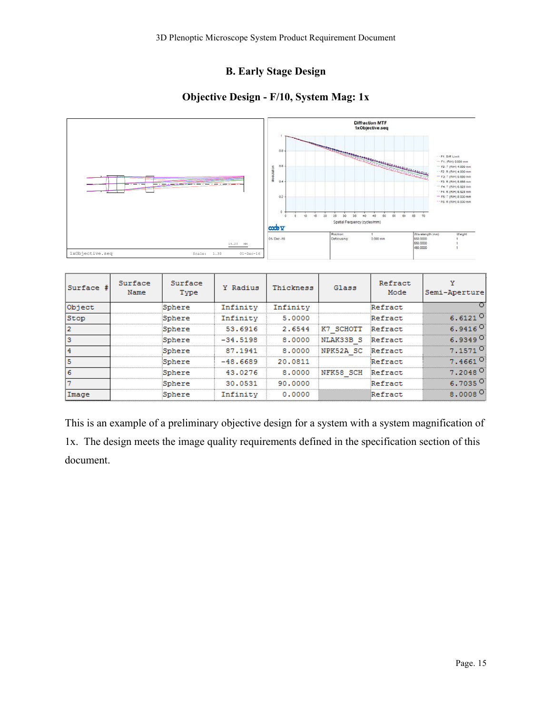# **B. Early Stage Design**

# **Objective Design - F/10, System Mag: 1x**



| Surface # | Surface<br>Name | Surface<br>Type | Y Radius   | Thickness | Glass             | Refract<br>Mode | Semi-Aperture         |
|-----------|-----------------|-----------------|------------|-----------|-------------------|-----------------|-----------------------|
| Object    |                 | Sphere          | Infinity   | Infinity  |                   | Refract         |                       |
| Stop      |                 | Sphere.         | Infinity   | 5.0000    |                   | Refract         | 6. 61.21              |
|           |                 | Sphere          | 53.6916    | 2.6544    | K7 SCHOTT         | Refract         |                       |
| Iз        |                 | Sphere          | $-34.5198$ | 8.0000    | NLAK33B S Refract |                 |                       |
|           |                 | Sphere          | 87.1941    | 8.0000    | NPK52A SC Refract |                 | $7.1571$ $^{\circ}$   |
|           |                 | Sphere          | $-48.6689$ | 20.0811   |                   | Refract         | $7.4661$ <sup>O</sup> |
| 6         |                 | Sphere          | 43.0276    | 8.0000    | NFK58 SCH         | Refract         | $7.2048 -$            |
|           |                 | Sphere          | 30.0531    | 90.0000   |                   | Refract         |                       |
| lImage    |                 |                 | Infinity   | 0.0000    |                   | Refract         | 8.00                  |

This is an example of a preliminary objective design for a system with a system magnification of 1x. The design meets the image quality requirements defined in the specification section of this document.